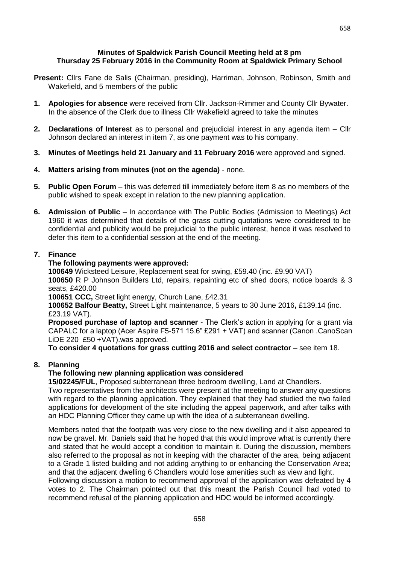#### **Minutes of Spaldwick Parish Council Meeting held at 8 pm Thursday 25 February 2016 in the Community Room at Spaldwick Primary School**

- **Present:** Cllrs Fane de Salis (Chairman, presiding), Harriman, Johnson, Robinson, Smith and Wakefield, and 5 members of the public
- **1. Apologies for absence** were received from Cllr. Jackson-Rimmer and County Cllr Bywater. In the absence of the Clerk due to illness Cllr Wakefield agreed to take the minutes
- **2. Declarations of Interest** as to personal and prejudicial interest in any agenda item Cllr Johnson declared an interest in item 7, as one payment was to his company.
- **3. Minutes of Meetings held 21 January and 11 February 2016** were approved and signed.
- **4. Matters arising from minutes (not on the agenda)** none.
- **5. Public Open Forum** this was deferred till immediately before item 8 as no members of the public wished to speak except in relation to the new planning application.
- **6. Admission of Public** In accordance with The Public Bodies (Admission to Meetings) Act 1960 it was determined that details of the grass cutting quotations were considered to be confidential and publicity would be prejudicial to the public interest, hence it was resolved to defer this item to a confidential session at the end of the meeting.

## **7. Finance**

## **The following payments were approved:**

**100649** Wicksteed Leisure, Replacement seat for swing, £59.40 (inc. £9.90 VAT) **100650** R P Johnson Builders Ltd, repairs, repainting etc of shed doors, notice boards & 3 seats, £420.00

**100651 CCC,** Street light energy, Church Lane, £42.31

**100652 Balfour Beatty,** Street Light maintenance, 5 years to 30 June 2016**,** £139.14 (inc. £23.19 VAT).

**Proposed purchase of laptop and scanner** - The Clerk's action in applying for a grant via CAPALC for a laptop (Acer Aspire F5-571 15.6" £291 + VAT) and scanner (Canon .CanoScan LiDE 220 £50 +VAT).was approved.

**To consider 4 quotations for grass cutting 2016 and select contractor** – see item 18.

# **8. Planning**

# **The following new planning application was considered**

**15/02245/FUL**, Proposed subterranean three bedroom dwelling, Land at Chandlers.

Two representatives from the architects were present at the meeting to answer any questions with regard to the planning application. They explained that they had studied the two failed applications for development of the site including the appeal paperwork, and after talks with an HDC Planning Officer they came up with the idea of a subterranean dwelling.

Members noted that the footpath was very close to the new dwelling and it also appeared to now be gravel. Mr. Daniels said that he hoped that this would improve what is currently there and stated that he would accept a condition to maintain it. During the discussion, members also referred to the proposal as not in keeping with the character of the area, being adjacent to a Grade 1 listed building and not adding anything to or enhancing the Conservation Area; and that the adjacent dwelling 6 Chandlers would lose amenities such as view and light. Following discussion a motion to recommend approval of the application was defeated by 4 votes to 2. The Chairman pointed out that this meant the Parish Council had voted to recommend refusal of the planning application and HDC would be informed accordingly.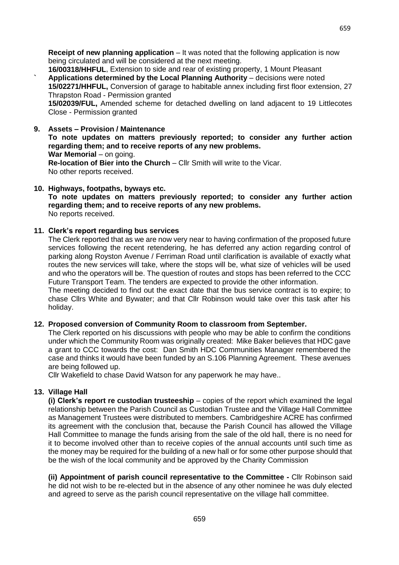**Receipt of new planning application** – It was noted that the following application is now being circulated and will be considered at the next meeting.

**16/00318/HHFUL**, Extension to side and rear of existing property, 1 Mount Pleasant **` Applications determined by the Local Planning Authority** – decisions were noted **15/02271/HHFUL,** [Conversion of garage to habitable annex including first floor extension, 27](http://publicaccess.huntingdonshire.gov.uk/online-applications/applicationDetails.do?activeTab=summary&keyVal=NYZWNJIKKD400)  [Thrapston Road -](http://publicaccess.huntingdonshire.gov.uk/online-applications/applicationDetails.do?activeTab=summary&keyVal=NYZWNJIKKD400) Permission granted

**15/02039/FUL,** Amended scheme for detached dwelling on land adjacent to 19 Littlecotes Close - Permission granted

#### **9. Assets – Provision / Maintenance**

**To note updates on matters previously reported; to consider any further action regarding them; and to receive reports of any new problems. War Memorial** – on going. **Re-location of Bier into the Church** – Cllr Smith will write to the Vicar. No other reports received.

## **10. Highways, footpaths, byways etc.**

**To note updates on matters previously reported; to consider any further action regarding them; and to receive reports of any new problems.** No reports received.

#### **11. Clerk's report regarding bus services**

The Clerk reported that as we are now very near to having confirmation of the proposed future services following the recent retendering, he has deferred any action regarding control of parking along Royston Avenue / Ferriman Road until clarification is available of exactly what routes the new services will take, where the stops will be, what size of vehicles will be used and who the operators will be. The question of routes and stops has been referred to the CCC Future Transport Team. The tenders are expected to provide the other information.

The meeting decided to find out the exact date that the bus service contract is to expire; to chase Cllrs White and Bywater; and that Cllr Robinson would take over this task after his holiday.

## **12. Proposed conversion of Community Room to classroom from September.**

The Clerk reported on his discussions with people who may be able to confirm the conditions under which the Community Room was originally created: Mike Baker believes that HDC gave a grant to CCC towards the cost: Dan Smith HDC Communities Manager remembered the case and thinks it would have been funded by an S.106 Planning Agreement. These avenues are being followed up.

Cllr Wakefield to chase David Watson for any paperwork he may have..

## **13. Village Hall**

**(i) Clerk's report re custodian trusteeship** – copies of the report which examined the legal relationship between the Parish Council as Custodian Trustee and the Village Hall Committee as Management Trustees were distributed to members. Cambridgeshire ACRE has confirmed its agreement with the conclusion that, because the Parish Council has allowed the Village Hall Committee to manage the funds arising from the sale of the old hall, there is no need for it to become involved other than to receive copies of the annual accounts until such time as the money may be required for the building of a new hall or for some other purpose should that be the wish of the local community and be approved by the Charity Commission

**(ii) Appointment of parish council representative to the Committee -** Cllr Robinson said he did not wish to be re-elected but in the absence of any other nominee he was duly elected and agreed to serve as the parish council representative on the village hall committee.